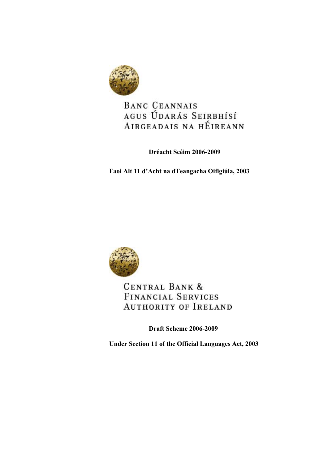

# BANC CEANNAIS AGUS ÚDARÁS SEIRBHÍSÍ AIRGEADAIS NA HÉIREANN

**Dréacht Scéim 2006-2009** 

**Faoi Alt 11 d'Acht na dTeangacha Oifigiúla, 2003** 



# **CENTRAL BANK & FINANCIAL SERVICES AUTHORITY OF IRELAND**

**Draft Scheme 2006-2009** 

**Under Section 11 of the Official Languages Act, 2003**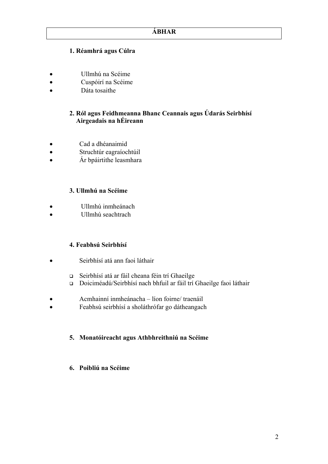# **1. Réamhrá agus Cúlra**

- Ullmhú na Scéime
- Cuspóirí na Scéime
- Dáta tosaithe

# **2. Ról agus Feidhmeanna Bhanc Ceannais agus Údarás Seirbhísí Airgeadais na hÉireann**

- Cad a dhéanaimid
- Struchtúr eagraíochtúil
- Ár bpáirtithe leasmhara

# **3. Ullmhú na Scéime**

- Ullmhú inmheánach
- Ullmhú seachtrach

# **4. Feabhsú Seirbhísí**

- Seirbhísí atá ann faoi láthair
	- Seirbhísí atá ar fáil cheana féin trí Ghaeilge
	- Doiciméadú/Seirbhísí nach bhfuil ar fáil trí Ghaeilge faoi láthair
- Acmhainní inmheánacha líon foirne/ traenáil
- Feabhsú seirbhísí a sholáthrófar go dátheangach

# **5. Monatóireacht agus Athbhreithniú na Scéime**

**6. Poibliú na Scéime**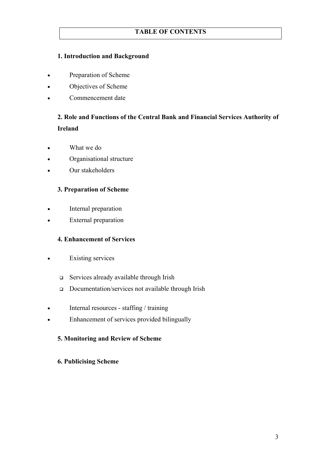# **TABLE OF CONTENTS**

# **1. Introduction and Background**

- Preparation of Scheme
- Objectives of Scheme
- Commencement date

# **2. Role and Functions of the Central Bank and Financial Services Authority of Ireland**

- What we do
- Organisational structure
- Our stakeholders

#### **3. Preparation of Scheme**

- Internal preparation
- **External preparation**

#### **4. Enhancement of Services**

- **Existing services** 
	- Services already available through Irish
	- Documentation/services not available through Irish
- Internal resources staffing / training
- Enhancement of services provided bilingually

#### **5. Monitoring and Review of Scheme**

#### **6. Publicising Scheme**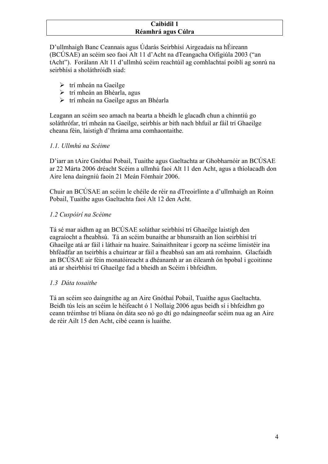#### **Caibidil 1 Réamhrá agus Cúlra**

D'ullmhaigh Banc Ceannais agus Údarás Seirbhísí Airgeadais na hÉireann (BCÚSAE) an scéim seo faoi Alt 11 d'Acht na dTeangacha Oifigiúla 2003 ("an tAcht"). Forálann Alt 11 d'ullmhú scéim reachtúil ag comhlachtaí poiblí ag sonrú na seirbhísí a sholáthróidh siad:

- $\triangleright$  trí mheán na Gaeilge
- $\triangleright$  trí mheán an Bhéarla, agus
- ¾ trí mheán na Gaeilge agus an Bhéarla

Leagann an scéim seo amach na bearta a bheidh le glacadh chun a chinntiú go soláthrófar, trí mheán na Gaeilge, seirbhís ar bith nach bhfuil ar fáil trí Ghaeilge cheana féin, laistigh d'fhráma ama comhaontaithe.

# *1.1. Ullmhú na Scéime*

D'iarr an tAire Gnóthaí Pobail, Tuaithe agus Gaeltachta ar Ghobharnóir an BCÚSAE ar 22 Márta 2006 dréacht Scéim a ullmhú faoi Alt 11 den Acht, agus a thíolacadh don Aire lena daingniú faoin 21 Meán Fómhair 2006.

Chuir an BCÚSAE an scéim le chéile de réir na dTreoirlínte a d'ullmhaigh an Roinn Pobail, Tuaithe agus Gaeltachta faoi Alt 12 den Acht.

# *1.2 Cuspóirí na Scéime*

Tá sé mar aidhm ag an BCÚSAE soláthar seirbhísí trí Ghaeilge laistigh den eagraíocht a fheabhsú. Tá an scéim bunaithe ar bhunsraith an líon seirbhísí trí Ghaeilge atá ar fáil i láthair na huaire. Sainaithnítear i gcorp na scéime limistéir ina bhféadfar an tseirbhís a chuirtear ar fáil a fheabhsú san am atá romhainn. Glacfaidh an BCÚSAE air féin monatóireacht a dhéanamh ar an éileamh ón bpobal i gcoitinne atá ar sheirbhísí trí Ghaeilge fad a bheidh an Scéim i bhfeidhm.

# *1.3 Dáta tosaithe*

Tá an scéim seo daingnithe ag an Aire Gnóthaí Pobail, Tuaithe agus Gaeltachta. Beidh tús leis an scéim le héifeacht ó 1 Nollaig 2006 agus beidh sí i bhfeidhm go ceann tréimhse trí bliana ón dáta seo nó go dtí go ndaingneofar scéim nua ag an Aire de réir Ailt 15 den Acht, cibé ceann is luaithe.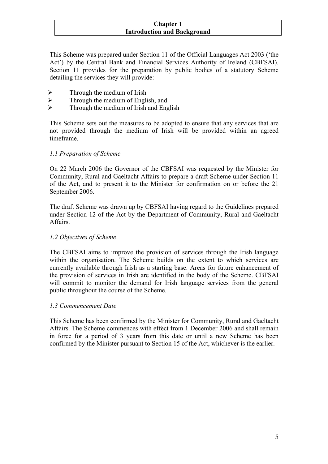#### **Chapter 1 Introduction and Background**

This Scheme was prepared under Section 11 of the Official Languages Act 2003 ('the Act') by the Central Bank and Financial Services Authority of Ireland (CBFSAI). Section 11 provides for the preparation by public bodies of a statutory Scheme detailing the services they will provide:

- $\triangleright$  Through the medium of Irish
- $\triangleright$  Through the medium of English, and<br> $\triangleright$  Through the medium of Irish and Eng
- ¾ Through the medium of Irish and English

This Scheme sets out the measures to be adopted to ensure that any services that are not provided through the medium of Irish will be provided within an agreed timeframe.

#### *1.1 Preparation of Scheme*

On 22 March 2006 the Governor of the CBFSAI was requested by the Minister for Community, Rural and Gaeltacht Affairs to prepare a draft Scheme under Section 11 of the Act, and to present it to the Minister for confirmation on or before the 21 September 2006.

The draft Scheme was drawn up by CBFSAI having regard to the Guidelines prepared under Section 12 of the Act by the Department of Community, Rural and Gaeltacht Affairs.

# *1.2 Objectives of Scheme*

The CBFSAI aims to improve the provision of services through the Irish language within the organisation. The Scheme builds on the extent to which services are currently available through Irish as a starting base. Areas for future enhancement of the provision of services in Irish are identified in the body of the Scheme. CBFSAI will commit to monitor the demand for Irish language services from the general public throughout the course of the Scheme.

#### *1.3 Commencement Date*

This Scheme has been confirmed by the Minister for Community, Rural and Gaeltacht Affairs. The Scheme commences with effect from 1 December 2006 and shall remain in force for a period of 3 years from this date or until a new Scheme has been confirmed by the Minister pursuant to Section 15 of the Act, whichever is the earlier.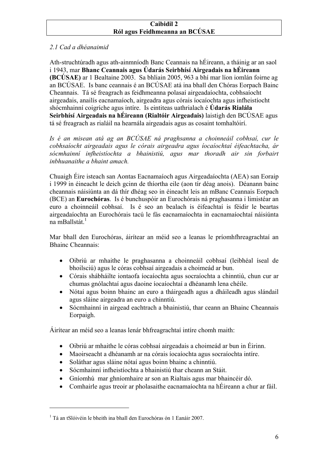#### **Caibidil 2 Ról agus Feidhmeanna an BCÚSAE**

# *2.1 Cad a dhéanaimid*

Ath-struchtúradh agus ath-ainmníodh Banc Ceannais na hÉireann, a tháinig ar an saol i 1943, mar **Bhanc Ceannais agus Údarás Seirbhísí Airgeadais na hÉireann (BCÚSAE)** ar 1 Bealtaine 2003. Sa bhliain 2005, 963 a bhí mar líon iomlán foirne ag an BCÚSAE. Is banc ceannais é an BCÚSAE atá ina bhall den Chóras Eorpach Bainc Cheannais. Tá sé freagrach as feidhmeanna polasaí airgeadaíochta, cobhsaíocht airgeadais, anailís eacnamaíoch, airgeadra agus córais íocaíochta agus infheistíocht shócmhainní coigríche agus intíre. Is eintiteas uathrialach é **Údarás Rialála Seirbhísí Airgeadais na hÉireann (Rialtóir Airgeadais)** laistigh den BCÚSAE agus tá sé freagrach as rialáil na hearnála airgeadais agus as cosaint tomhaltóirí.

Is é an misean atá ag an BCÚSAE ná praghsanna a choinneáil cobhsaí, cur le *cobhsaíocht airgeadais agus le córais airgeadra agus íocaíochtaí éifeachtacha, ár sócmhainní infheistíochta a bhainistiú, agus mar thoradh air sin forbairt inbhuanaithe a bhaint amach.* 

Chuaigh Éire isteach san Aontas Eacnamaíoch agus Airgeadaíochta (AEA) san Eoraip i 1999 in éineacht le deich gcinn de thíortha eile (aon tír déag anois). Déanann bainc cheannais náisiúnta an dá thír dhéag seo in éineacht leis an mBanc Ceannais Eorpach (BCE) an **Eurochóras**. Is é bunchuspóir an Eurochórais ná praghasanna i limistéar an euro a choinneáil cobhsaí. Is é seo an bealach is éifeachtaí is féidir le beartas airgeadaíochta an Eurochórais tacú le fás eacnamaíochta in eacnamaíochtaí náisiúnta na mBallstát $^{-1}$ 

Mar bhall den Eurochóras, áirítear an méid seo a leanas le príomhfhreagrachtaí an Bhainc Cheannais:

- Oibriú ar mhaithe le praghasanna a choinneáil cobhsaí (leibhéal íseal de bhoilsciú) agus le córas cobhsaí airgeadais a choimeád ar bun.
- Córais shábháilte iontaofa íocaíochta agus socraíochta a chinntiú, chun cur ar chumas gnólachtaí agus daoine íocaíochtaí a dhéanamh lena chéile.
- Nótaí agus boinn bhainc an euro a tháirgeadh agus a dháileadh agus slándail agus sláine airgeadra an euro a chinntiú.
- Sócmhainní in airgead eachtrach a bhainistiú, thar ceann an Bhainc Cheannais Eorpaigh.

Áirítear an méid seo a leanas lenár bhfreagrachtaí intíre chomh maith:

- Oibriú ar mhaithe le córas cobhsaí airgeadais a choimeád ar bun in Éirinn.
- Maoirseacht a dhéanamh ar na córais íocaíochta agus socraíochta intíre.
- Soláthar agus sláine nótaí agus boinn bhainc a chinntiú.
- Sócmhainní infheistíochta a bhainistiú thar cheann an Stáit.
- Gníomhú mar ghníomhaire ar son an Rialtais agus mar bhaincéir dó.
- Comhairle agus treoir ar pholasaithe eacnamaíochta na hÉireann a chur ar fáil.

 $\overline{a}$ 

<span id="page-5-0"></span><sup>1</sup> Tá an tSlóivéin le bheith ina bhall den Eurochóras ón 1 Eanáir 2007.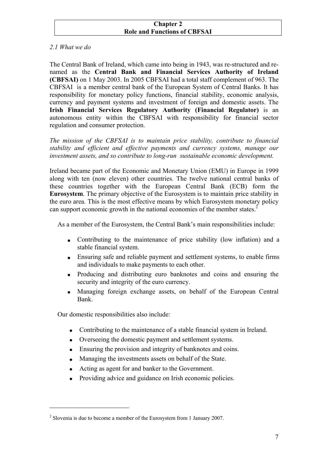#### **Chapter 2 Role and Functions of CBFSAI**

# *2.1 What we do*

The Central Bank of Ireland, which came into being in 1943, was re-structured and renamed as the **Central Bank and Financial Services Authority of Ireland (CBFSAI)** on 1 May 2003. In 2005 CBFSAI had a total staff complement of 963. The CBFSAI is a member central bank of the European System of Central Banks. It has responsibility for monetary policy functions, financial stability, economic analysis, currency and payment systems and investment of foreign and domestic assets. The **Irish Financial Services Regulatory Authority (Financial Regulator)** is an autonomous entity within the CBFSAI with responsibility for financial sector regulation and consumer protection.

*The mission of the CBFSAI is to maintain price stability, contribute to financial stability and efficient and effective payments and currency systems, manage our investment assets, and so contribute to long-run sustainable economic development.*

Ireland became part of the Economic and Monetary Union (EMU) in Europe in 1999 along with ten (now eleven) other countries. The twelve national central banks of these countries together with the European Central Bank (ECB) form the **Eurosystem**. The primary objective of the Eurosystem is to maintain price stability in the euro area. This is the most effective means by which Eurosystem monetary policy can support economic growth in the national economies of the member states.<sup>2</sup>

As a member of the Eurosystem, the Central Bank's main responsibilities include:

- Contributing to the maintenance of price stability (low inflation) and a stable financial system.
- Ensuring safe and reliable payment and settlement systems, to enable firms and individuals to make payments to each other.
- Producing and distributing euro banknotes and coins and ensuring the security and integrity of the euro currency.
- Managing foreign exchange assets, on behalf of the European Central Bank.

Our domestic responsibilities also include:

 $\overline{a}$ 

- Contributing to the maintenance of a stable financial system in Ireland.
- Overseeing the domestic payment and settlement systems.
- Ensuring the provision and integrity of banknotes and coins.
- Managing the investments assets on behalf of the State.
- Acting as agent for and banker to the Government.
- Providing advice and guidance on Irish economic policies.

<span id="page-6-0"></span> $2^2$  Slovenia is due to become a member of the Eurosystem from 1 January 2007.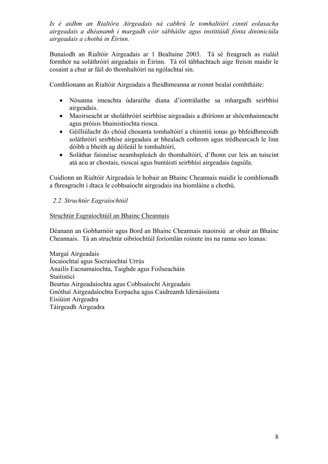*Is é aidhm an Rialtóra Airgeadais ná cabhrú le tomhaltóirí cinntí eolasacha airgeadais a dhéanamh i margadh cóir sábháilte agus institiúidí fónta dinimiciúla airgeadais a chothú in Éirinn.* 

Bunaíodh an Rialtóir Airgeadais ar 1 Bealtaine 2003. Tá sé freagrach as rialáil formhór na soláthróirí airgeadais in Éirinn. Tá ról tábhachtach aige freisin maidir le cosaint a chur ar fáil do thomhaltóirí na ngólachtaí sin.

Comhlíonann an Rialtóir Airgeadais a fheidhmeanna ar roinnt bealaí comhtháite:

- Nósanna imeachta údaraithe diana d'iontrálaithe sa mhargadh seirbhísí airgeadais.
- Maoirseacht ar sholáthróirí seirbhíse airgeadais a dhíríonn ar shócmhainneacht agus próisis bhainistíochta riosca.
- Géilliúlacht do chóid chosanta tomhaltóirí a chinntiú ionas go bhfeidhmeoidh soláthróirí seirbhíse airgeadais ar bhealach cothrom agus trédhearcach le linn dóibh a bheith ag déileáil le tomhaltóirí,
- Soláthar faisnéise neamhspleách do thomhaltóirí, d'fhonn cur leis an tuiscint atá acu ar chostais, rioscaí agus buntáistí seirbhísí airgeadais éagsúla.

Cuidíonn an Rialtóir Airgeadais le hobair an Bhainc Cheannais maidir le comhlíonadh a fhreagracht i dtaca le cobhsaíocht airgeadais ina hiomláine a chothú.

# *2.2. Struchtúr Eagraíochtúil*

#### Struchtúr Eagraíochtúil an Bhainc Cheannais

Déanann an Gobharnóir agus Bord an Bhainc Cheannais maoirsiú ar obair an Bhainc Cheannais. Tá an struchtúr oibríochtúil foriomlán roinnte ins na ranna seo leanas:

Margaí Airgeadais Íocaíochtaí agus Socraíochtaí Urrús Anailís Eacnamaíochta, Taighde agus Foilseacháin Staitisticí Beartas Airgeadaíochta agus Cobhsaíocht Airgeadais Gnóthaí Airgeadaíochta Eorpacha agus Caidreamh Idirnáisiúnta Eisiúint Airgeadra Táirgeadh Airgeadra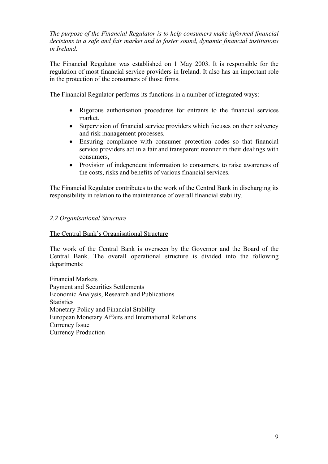*The purpose of the Financial Regulator is to help consumers make informed financial decisions in a safe and fair market and to foster sound, dynamic financial institutions in Ireland.* 

The Financial Regulator was established on 1 May 2003. It is responsible for the regulation of most financial service providers in Ireland. It also has an important role in the protection of the consumers of those firms.

The Financial Regulator performs its functions in a number of integrated ways:

- Rigorous authorisation procedures for entrants to the financial services market.
- Supervision of financial service providers which focuses on their solvency and risk management processes.
- Ensuring compliance with consumer protection codes so that financial service providers act in a fair and transparent manner in their dealings with consumers,
- Provision of independent information to consumers, to raise awareness of the costs, risks and benefits of various financial services.

The Financial Regulator contributes to the work of the Central Bank in discharging its responsibility in relation to the maintenance of overall financial stability.

#### *2.2 Organisational Structure*

#### The Central Bank's Organisational Structure

The work of the Central Bank is overseen by the Governor and the Board of the Central Bank. The overall operational structure is divided into the following departments:

Financial Markets Payment and Securities Settlements Economic Analysis, Research and Publications **Statistics** Monetary Policy and Financial Stability European Monetary Affairs and International Relations Currency Issue Currency Production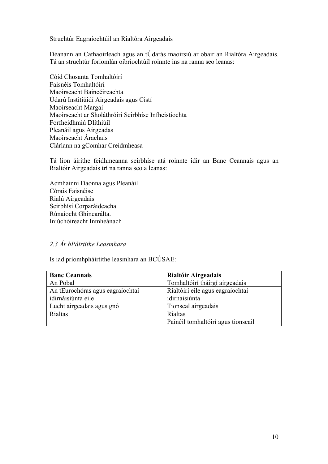#### Struchtúr Eagraíochtúil an Rialtóra Airgeadais

Déanann an Cathaoirleach agus an tÚdarás maoirsiú ar obair an Rialtóra Airgeadais. Tá an struchtúr foriomlán oibríochtúil roinnte ins na ranna seo leanas:

Cóid Chosanta Tomhaltóirí Faisnéis Tomhaltóirí Maoirseacht Baincéireachta Údarú Institiúidí Airgeadais agus Cistí Maoirseacht Margaí Maoirseacht ar Sholáthróirí Seirbhíse Infheistíochta Forfheidhmiú Dlíthiúil Pleanáil agus Airgeadas Maoirseacht Árachais Clárlann na gComhar Creidmheasa

Tá líon áirithe feidhmeanna seirbhíse atá roinnte idir an Banc Ceannais agus an Rialtóir Airgeadais trí na ranna seo a leanas:

Acmhainní Daonna agus Pleanáil Córais Faisnéise Rialú Airgeadais Seirbhísí Corparáideacha Rúnaíocht Ghinearálta. Iniúchóireacht Inmheánach

# *2.3 Ár bPáirtithe Leasmhara*

Is iad príomhpháirtithe leasmhara an BCÚSAE:

| <b>Banc Ceannais</b>             | Rialtóir Airgeadais                |
|----------------------------------|------------------------------------|
| An Pobal                         | Tomhaltóirí tháirgí airgeadais     |
| An tEurochóras agus eagraíochtaí | Rialtóirí eile agus eagraíochtaí   |
| idirnáisiúnta eile               | idirnáisiúnta                      |
| Lucht airgeadais agus gnó        | Tionscal airgeadais                |
| Rialtas                          | Rialtas                            |
|                                  | Painéil tomhaltóirí agus tionscail |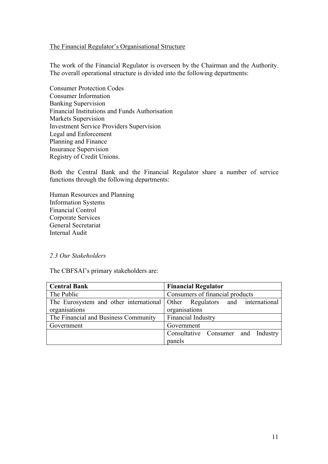#### The Financial Regulator's Organisational Structure

The work of the Financial Regulator is overseen by the Chairman and the Authority. The overall operational structure is divided into the following departments:

Consumer Protection Codes Consumer Information Banking Supervision Financial Institutions and Funds Authorisation Markets Supervision Investment Service Providers Supervision Legal and Enforcement Planning and Finance Insurance Supervision Registry of Credit Unions.

Both the Central Bank and the Financial Regulator share a number of service functions through the following departments:

Human Resources and Planning Information Systems Financial Control Corporate Services General Secretariat Internal Audit

#### *2.3 Our Stakeholders*

The CBFSAI's primary stakeholders are:

| <b>Central Bank</b>                                                       | <b>Financial Regulator</b>         |
|---------------------------------------------------------------------------|------------------------------------|
| The Public                                                                | Consumers of financial products    |
| The Eurosystem and other international Other Regulators and international |                                    |
| organisations                                                             | organisations                      |
| The Financial and Business Community                                      | Financial Industry                 |
| Government                                                                | Government                         |
|                                                                           | Consultative Consumer and Industry |
|                                                                           | panels                             |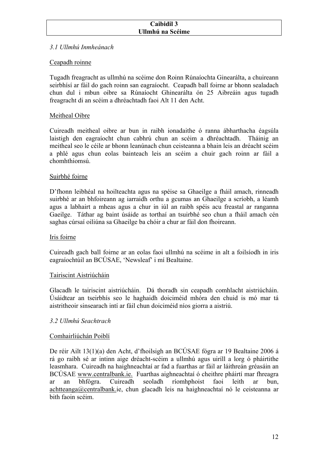### **Caibidil 3 Ullmhú na Scéime**

# *3.1 Ullmhú Inmheánach*

# Ceapadh roinne

Tugadh freagracht as ullmhú na scéime don Roinn Rúnaíochta Ginearálta, a chuireann seirbhísí ar fáil do gach roinn san eagraíocht. Ceapadh ball foirne ar bhonn sealadach chun dul i mbun oibre sa Rúnaíocht Ghinearálta ón 25 Aibreáin agus tugadh freagracht di an scéim a dhréachtadh faoi Alt 11 den Acht.

# Meitheal Oibre

Cuireadh meitheal oibre ar bun in raibh ionadaithe ó ranna ábharthacha éagsúla laistigh den eagraíocht chun cabhrú chun an scéim a dhréachtadh. Tháinig an meitheal seo le céile ar bhonn leanúnach chun ceisteanna a bhain leis an dréacht scéim a phlé agus chun eolas bainteach leis an scéim a chuir gach roinn ar fáil a chomhthiomsú.

#### Suirbhé foirne

D'fhonn leibhéal na hoilteachta agus na spéise sa Ghaeilge a fháil amach, rinneadh suirbhé ar an bhfoireann ag iarraidh orthu a gcumas an Ghaeilge a scríobh, a léamh agus a labhairt a mheas agus a chur in iúl an raibh spéis acu freastal ar ranganna Gaeilge. Táthar ag baint úsáide as torthaí an tsuirbhé seo chun a fháil amach cén saghas cúrsaí oiliúna sa Ghaeilge ba chóir a chur ar fáil don fhoireann.

#### Iris foirne

Cuireadh gach ball foirne ar an eolas faoi ullmhú na scéime in alt a foilsíodh in iris eagraíochtúil an BCÚSAE, 'Newsleaf' i mí Bealtaine.

# Tairiscint Aistriúcháin

Glacadh le tairiscint aistriúcháin. Dá thoradh sin ceapadh comhlacht aistriúcháin. Úsáidtear an tseirbhís seo le haghaidh doiciméid mhóra den chuid is mó mar tá aistritheoir sinsearach intí ar fáil chun doiciméid níos giorra a aistriú.

# *3.2 Ullmhú Seachtrach*

# Comhairliúchán Poiblí

De réir Ailt 13(1)(a) den Acht, d'fhoilsigh an BCÚSAE fógra ar 19 Bealtaine 2006 á rá go raibh sé ar intinn aige dréacht-scéim a ullmhú agus uiríll a lorg ó pháirtithe leasmhara. Cuireadh na haighneachtaí ar fad a fuarthas ar fáil ar láithreán gréasáin an BCÚSAE www.centralbank.ie. Fuarthas aighneachtaí ó cheithre pháirtí mar fhreagra ar an bhfógra. Cuireadh seoladh ríomhphoist faoi leith ar bun, achtteanga@centralbank.ie, chun glacadh leis na haighneachtaí nó le ceisteanna ar bith faoin scéim.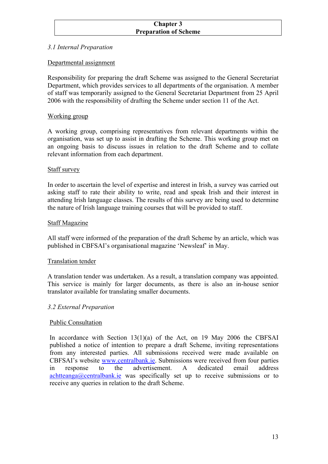#### **Chapter 3 Preparation of Scheme**

# *3.1 Internal Preparation*

# Departmental assignment

Responsibility for preparing the draft Scheme was assigned to the General Secretariat Department, which provides services to all departments of the organisation. A member of staff was temporarily assigned to the General Secretariat Department from 25 April 2006 with the responsibility of drafting the Scheme under section 11 of the Act.

# Working group

A working group, comprising representatives from relevant departments within the organisation, was set up to assist in drafting the Scheme. This working group met on an ongoing basis to discuss issues in relation to the draft Scheme and to collate relevant information from each department.

#### Staff survey

In order to ascertain the level of expertise and interest in Irish, a survey was carried out asking staff to rate their ability to write, read and speak Irish and their interest in attending Irish language classes. The results of this survey are being used to determine the nature of Irish language training courses that will be provided to staff.

#### Staff Magazine

All staff were informed of the preparation of the draft Scheme by an article, which was published in CBFSAI's organisational magazine 'Newsleaf' in May.

#### Translation tender

A translation tender was undertaken. As a result, a translation company was appointed. This service is mainly for larger documents, as there is also an in-house senior translator available for translating smaller documents.

# *3.2 External Preparation*

# Public Consultation

In accordance with Section  $13(1)(a)$  of the Act, on 19 May 2006 the CBFSAI published a notice of intention to prepare a draft Scheme, inviting representations from any interested parties. All submissions received were made available on CBFSAI's website [www.centralbank.ie](http://www.centralbank.ie/). Submissions were received from four parties in response to the advertisement. A dedicated email address  $\alpha$ chtteanga@centralbank.ie was specifically set up to receive submissions or to receive any queries in relation to the draft Scheme.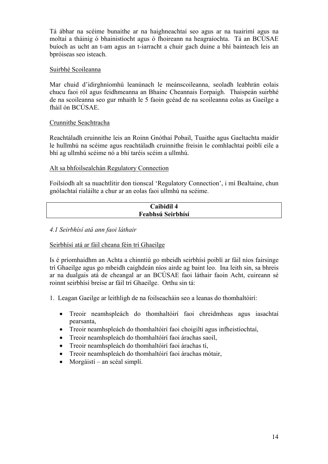Tá ábhar na scéime bunaithe ar na haighneachtaí seo agus ar na tuairimí agus na moltaí a tháinig ó bhainistíocht agus ó fhoireann na heagraíochta. Tá an BCÚSAE buíoch as ucht an t-am agus an t-iarracht a chuir gach duine a bhí bainteach leis an bpróiseas seo isteach.

#### Suirbhé Scoileanna

Mar chuid d'idirghníomhú leanúnach le meánscoileanna, seoladh leabhrán eolais chucu faoi ról agus feidhmeanna an Bhainc Cheannais Eorpaigh. Thaispeán suirbhé de na scoileanna seo gur mhaith le 5 faoin gcéad de na scoileanna eolas as Gaeilge a fháil ón BCÚSAE.

# Crunnithe Seachtracha

Reachtáladh cruinnithe leis an Roinn Gnóthaí Pobail, Tuaithe agus Gaeltachta maidir le hullmhú na scéime agus reachtáladh cruinnithe freisin le comhlachtaí poiblí eile a bhí ag ullmhú scéime nó a bhí taréis scéim a ullmhú.

#### Alt sa bhfoilsealchán Regulatory Connection

Foilsíodh alt sa nuachtlitir don tionscal 'Regulatory Connection', i mí Bealtaine, chun gnólachtaí rialáilte a chur ar an eolas faoi ullmhú na scéime.

| Caibidil 4        |  |
|-------------------|--|
| Feabhsú Seirbhísí |  |

#### *4.1 Seirbhísí atá ann faoi láthair*

# Seirbhísí atá ar fáil cheana féin trí Ghaeilge

Is é príomhaidhm an Achta a chinntiú go mbeidh seirbhísí poiblí ar fáil níos fairsinge trí Ghaeilge agus go mbeidh caighdeán níos airde ag baint leo. Ina leith sin, sa bhreis ar na dualgais atá de cheangal ar an BCÚSAE faoi láthair faoin Acht, cuireann sé roinnt seirbhísí breise ar fáil trí Ghaeilge. Orthu sin tá:

1. Leagan Gaeilge ar leithligh de na foilseacháin seo a leanas do thomhaltóirí:

- Treoir neamhspleách do thomhaltóirí faoi chreidmheas agus iasachtaí pearsanta,
- Treoir neamhspleách do thomhaltóirí faoi choigiltí agus infheistíochtaí.
- Treoir neamhspleách do thomhaltóirí faoi árachas saoil,
- Treoir neamhspleách do thomhaltóirí faoi árachas tí,
- Treoir neamhspleách do thomhaltóirí faoi árachas mótair,
- Morgáistí an scéal simplí.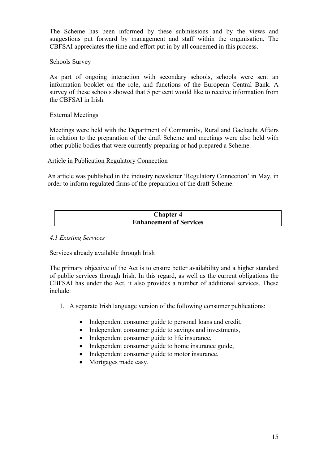The Scheme has been informed by these submissions and by the views and suggestions put forward by management and staff within the organisation. The CBFSAI appreciates the time and effort put in by all concerned in this process.

#### Schools Survey

As part of ongoing interaction with secondary schools, schools were sent an information booklet on the role, and functions of the European Central Bank. A survey of these schools showed that 5 per cent would like to receive information from the CBFSAI in Irish.

#### External Meetings

Meetings were held with the Department of Community, Rural and Gaeltacht Affairs in relation to the preparation of the draft Scheme and meetings were also held with other public bodies that were currently preparing or had prepared a Scheme.

#### Article in Publication Regulatory Connection

An article was published in the industry newsletter 'Regulatory Connection' in May, in order to inform regulated firms of the preparation of the draft Scheme.

| <b>Chapter 4</b>               |  |  |
|--------------------------------|--|--|
| <b>Enhancement of Services</b> |  |  |

# *4.1 Existing Services*

#### Services already available through Irish

The primary objective of the Act is to ensure better availability and a higher standard of public services through Irish. In this regard, as well as the current obligations the CBFSAI has under the Act, it also provides a number of additional services. These include:

- 1. A separate Irish language version of the following consumer publications:
	- Independent consumer guide to personal loans and credit,
	- Independent consumer guide to savings and investments,
	- Independent consumer guide to life insurance,
	- Independent consumer guide to home insurance guide,
	- Independent consumer guide to motor insurance,
	- Mortgages made easy.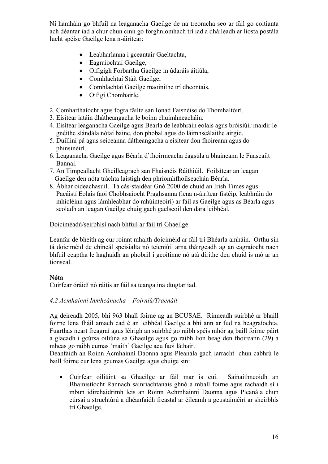Ní hamháin go bhfuil na leaganacha Gaeilge de na treoracha seo ar fáil go coitianta ach déantar iad a chur chun cinn go forghníomhach trí iad a dháileadh ar liosta postála lucht spéise Gaeilge lena n-áirítear:

- Leabharlanna i gceantair Gaeltachta,
- Eagraíochtaí Gaeilge,
- Oifigigh Forbartha Gaeilge in údaráis áitiúla,
- Comhlachtaí Stáit Gaeilge,
- Comhlachtaí Gaeilge maoinithe trí dheontais,
- Oifigí Chomhairle.
- 2. Comharthaíocht agus fógra fáilte san Ionad Faisnéise do Thomhaltóirí.
- 3. Eisítear iatáin dhátheangacha le boinn chuimhneacháin.
- 4. Eisítear leaganacha Gaeilge agus Béarla de leabhráin eolais agus bróisiúir maidir le gnéithe slándála nótaí bainc, don phobal agus do láimhseálaithe airgid.
- 5. Duillíní pá agus seiceanna dátheangacha a eisítear don fhoireann agus do phinsinéirí.
- 6. Leaganacha Gaeilge agus Béarla d'fhoirmeacha éagsúla a bhaineann le Fuascailt Bannaí.
- 7. An Timpeallacht Gheilleagrach san Fhaisnéis Ráithiúil. Foilsítear an leagan Gaeilge den nóta tráchta laistigh den phríomhfhoilseachán Béarla.
- 8. Ábhar oideachasúil. Tá cás-staidéar Gnó 2000 de chuid an Irish Times agus Pacáistí Eolais faoi Chobhsaíocht Praghsanna (lena n-áirítear fístéip, leabhráin do mhicléinn agus lámhleabhar do mhúinteoirí) ar fáil as Gaeilge agus as Béarla agus seoladh an leagan Gaeilge chuig gach gaelscoil den dara leibhéal.

#### Doiciméadú/seirbhísí nach bhfuil ar fáil trí Ghaeilge

Leanfar de bheith ag cur roinnt mhaith doiciméid ar fáil trí Bhéarla amháin. Orthu sin tá doiciméid de chineál speisialta nó teicniúil arna tháirgeadh ag an eagraíocht nach bhfuil ceaptha le haghaidh an phobail i gcoitinne nó atá dírithe den chuid is mó ar an tionscal.

# **Nóta**

Cuirfear óráidí nó ráitis ar fáil sa teanga ina dtugtar iad.

# *4.2 Acmhainní Inmheánacha – Foirniú/Traenáil*

Ag deireadh 2005, bhí 963 bhall foirne ag an BCÚSAE. Rinneadh suirbhé ar bhaill foirne lena fháil amach cad é an leibhéal Gaeilge a bhí ann ar fud na heagraíochta. Fuarthas neart freagraí agus léirigh an suirbhé go raibh spéis mhór ag baill foirne páirt a glacadh i gcúrsa oiliúna sa Ghaeilge agus go raibh líon beag den fhoireann (29) a mheas go raibh cumas 'maith' Gaeilge acu faoi láthair.

Déanfaidh an Roinn Acmhainní Daonna agus Pleanála gach iarracht chun cabhrú le baill foirne cur lena gcumas Gaeilge agus chuige sin:

• Cuirfear oiliúint sa Ghaeilge ar fáil mar is cuí. Sainaithneoidh an Bhainistíocht Rannach sainriachtanais ghnó a mball foirne agus rachaidh sí i mbun idirchaidrimh leis an Roinn Achmhainní Daonna agus Pleanála chun cúrsaí a struchtúrú a dhéanfaidh freastal ar éileamh a gcustaiméirí ar sheirbhís trí Ghaeilge.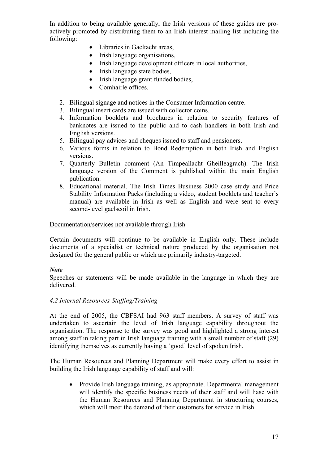In addition to being available generally, the Irish versions of these guides are proactively promoted by distributing them to an Irish interest mailing list including the following:

- Libraries in Gaeltacht areas,
- Irish language organisations,
- Irish language development officers in local authorities,
- Irish language state bodies,
- Irish language grant funded bodies,
- Comhairle offices.
- 2. Bilingual signage and notices in the Consumer Information centre.
- 3. Bilingual insert cards are issued with collector coins.
- 4. Information booklets and brochures in relation to security features of banknotes are issued to the public and to cash handlers in both Irish and English versions.
- 5. Bilingual pay advices and cheques issued to staff and pensioners.
- 6. Various forms in relation to Bond Redemption in both Irish and English versions.
- 7. Quarterly Bulletin comment (An Timpeallacht Gheilleagrach). The Irish language version of the Comment is published within the main English publication.
- 8. Educational material. The Irish Times Business 2000 case study and Price Stability Information Packs (including a video, student booklets and teacher's manual) are available in Irish as well as English and were sent to every second-level gaelscoil in Irish.

#### Documentation/services not available through Irish

Certain documents will continue to be available in English only. These include documents of a specialist or technical nature produced by the organisation not designed for the general public or which are primarily industry-targeted.

# *Note*

Speeches or statements will be made available in the language in which they are delivered.

#### *4.2 Internal Resources-Staffing/Training*

At the end of 2005, the CBFSAI had 963 staff members. A survey of staff was undertaken to ascertain the level of Irish language capability throughout the organisation. The response to the survey was good and highlighted a strong interest among staff in taking part in Irish language training with a small number of staff (29) identifying themselves as currently having a 'good' level of spoken Irish.

The Human Resources and Planning Department will make every effort to assist in building the Irish language capability of staff and will:

• Provide Irish language training, as appropriate. Departmental management will identify the specific business needs of their staff and will liase with the Human Resources and Planning Department in structuring courses, which will meet the demand of their customers for service in Irish.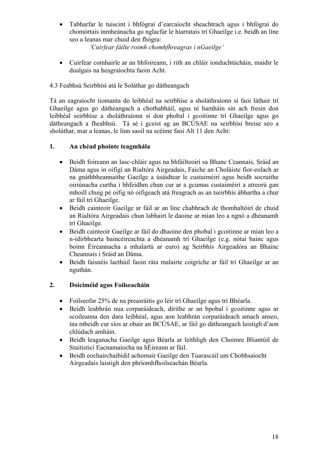• Tabharfar le tuiscint i bhfógraí d'earcaíocht sheachtrach agus i bhfógraí do chomórtais inmheánacha go nglacfar le hiarratais trí Ghaeilge i.e. beidh an líne seo a leanas mar chuid den fhógra:

*'Cuirfear fáilte roimh chomhfhreagras i nGaeilge'* 

• Cuirfear comhairle ar an bhfoireann, i rith an chláir ionduchtúcháin, maidir le dualgais na heagraíochta faoin Acht.

# 4.3 Feabhsú Seirbhísí atá le Soláthar go dátheangach

Tá an eagraíocht tiomanta do leibhéal na seirbhíse a sholáthraíonn sí faoi láthair trí Ghaeilge agus go dátheangach a chothabháil, agus ní hamháin sin ach fresin don leibhéal seirbhíse a sholáthraíonn sí don phobal i gcoitinne trí Ghaeilge agus go dátheangach a fheabhsú. Tá sé i gceist ag an BCÚSAE na seirbhísí breise seo a sholáthar, mar a leanas, le linn saoil na scéime faoi Alt 11 den Acht:

# **1. An chéad phointe teagmhála**

- Beidh foireann an lasc-chláir agus na bhfáilteoirí sa Bhanc Ceannais, Sráid an Dáma agus in oifigí an Rialtóra Airgeadais, Faiche an Choláiste fíor-eolach ar na gnáthbheannaithe Gaeilge a úsáidtear le custaiméirí agus beidh socruithe oiriúnacha curtha i bhfeidhm chun cur ar a gcumas custaiméirí a atreorú gan mhoill chuig pé oifig nó oifigeach atá freagrach as an tseirbhís ábhartha a chur ar fáil trí Ghaeilge.
- Beidh cainteoir Gaeilge ar fáil ar an líne chabhrach de thomhaltóirí de chuid an Rialtóra Airgeadais chun labhairt le daoine ar mian leo a ngnó a dhéanamh trí Ghaeilge.
- Beidh cainteoir Gaeilge ar fáil do dhaoine den phobal i gcoitinne ar mian leo a n-idirbhearta baincéireachta a dhéanamh trí Ghaeilge (e.g. nótaí bainc agus boinn Éireannacha a mhalartú ar euro) ag Seirbhís Airgeadóra an Bhainc Cheannais i Sráid an Dáma.
- Beidh faisnéis laethúil faoin ráta malairte coigríche ar fáil trí Ghaeilge ar an nguthán.

# **2. Doiciméid agus Foilseacháin**

- Foilseofar 25% de na preasráitis go léir trí Ghaeilge agus trí Bhéarla.
- Beidh leabhrán nua corparáideach, dírithe ar an bpobal i gcoitinne agus ar scoileanna den dara leibhéal, agus aon leabhrán corparáideach amach anseo, ina mbeidh cur síos ar obair an BCÚSAE, ar fáil go dátheangach laistigh d'aon chlúdach amháin.
- Beidh leaganacha Gaeilge agus Béarla ar leithligh den Choimre Bliantúil de Staitisticí Eacnamaíocha na hÉireann ar fáil.
- Beidh eochairchaibidil achomair Gaeilge den Tuarascáil um Chobhsaíocht Airgeadais laistigh den phríomhfhoilseachán Béarla.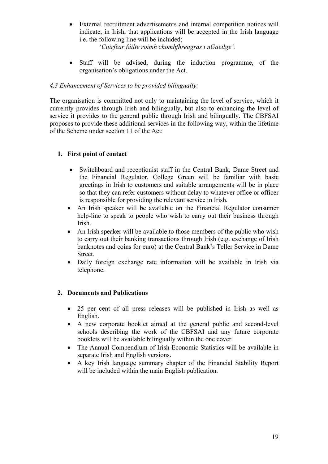- External recruitment advertisements and internal competition notices will indicate, in Irish, that applications will be accepted in the Irish language i.e. the following line will be included;
	- '*Cuirfear fáilte roimh chomhfhreagras i nGaeilge'.*
- Staff will be advised, during the induction programme, of the organisation's obligations under the Act.

# *4.3 Enhancement of Services to be provided bilingually:*

The organisation is committed not only to maintaining the level of service, which it currently provides through Irish and bilingually, but also to enhancing the level of service it provides to the general public through Irish and bilingually. The CBFSAI proposes to provide these additional services in the following way, within the lifetime of the Scheme under section 11 of the Act:

# **1. First point of contact**

- Switchboard and receptionist staff in the Central Bank, Dame Street and the Financial Regulator, College Green will be familiar with basic greetings in Irish to customers and suitable arrangements will be in place so that they can refer customers without delay to whatever office or officer is responsible for providing the relevant service in Irish*.*
- An Irish speaker will be available on the Financial Regulator consumer help-line to speak to people who wish to carry out their business through Irish.
- An Irish speaker will be available to those members of the public who wish to carry out their banking transactions through Irish (e.g. exchange of Irish banknotes and coins for euro) at the Central Bank's Teller Service in Dame Street.
- Daily foreign exchange rate information will be available in Irish via telephone.

# **2. Documents and Publications**

- 25 per cent of all press releases will be published in Irish as well as English.
- A new corporate booklet aimed at the general public and second-level schools describing the work of the CBFSAI and any future corporate booklets will be available bilingually within the one cover.
- The Annual Compendium of Irish Economic Statistics will be available in separate Irish and English versions.
- A key Irish language summary chapter of the Financial Stability Report will be included within the main English publication.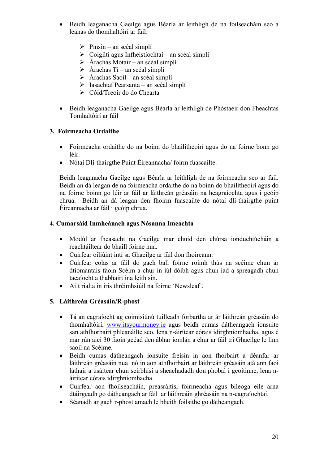- Beidh leaganacha Gaeilge agus Béarla ar leithligh de na foilseacháin seo a leanas do thomhaltóirí ar fáil:
	- $\triangleright$  Pinsin an scéal simplí
	- $\triangleright$  Coigiltí agus Infheistíochtaí an scéal simplí
	- $\triangleright$  Árachas Mótair an scéal simplí
	- $\triangleright$  Árachas Tí an scéal simplí
	- $\triangleright$  Árachas Saoil an scéal simplí
	- ¾ Iasachtaí Pearsanta an scéal simplí
	- $\geq$  Cóid/Treoir do do Chearta
- Beidh leaganacha Gaeilge agus Béarla ar leithligh de Phóstaeir don Fheachtas Tomhaltóirí ar fáil

# **3. Foirmeacha Ordaithe**

- Foirmeacha ordaithe do na boinn do bhailitheoirí agus do na foirne bonn go léir.
- Nótaí Dlí-thairgthe Puint Éireannacha/ foirm fuascailte.

Beidh leaganacha Gaeilge agus Béarla ar leithligh de na foirmeacha seo ar fáil. Beidh an dá leagan de na foirmeacha ordaithe do na boinn do bhailitheoirí agus do na foirne boinn go léir ar fáil ar láithreán gréasáin na heagraíochta agus i gcóip chrua. Beidh an dá leagan den fhoirm fuascailte do nótaí dlí-thairgthe puint Éireannacha ar fáil i gcóip chrua.

# **4. Cumarsáid Inmheánach agus Nósanna Imeachta**

- Modúl ar fheasacht na Gaeilge mar chuid den chúrsa ionduchtúcháin a reachtáiltear do bhaill foirne nua.
- Cuirfear oiliúint intí sa Ghaeilge ar fáil don fhoireann.
- Cuirfear eolas ar fáil do gach ball foirne roimh thús na scéime chun ár dtiomantais faoin Scéim a chur in iúl dóibh agus chun iad a spreagadh chun tacaíocht a thabhairt ina leith sin.
- Ailt rialta in iris thréimhsiúil na foirne 'Newsleaf'.

# **5. Láithreán Gréasáin/R-phost**

- Tá an eagraíocht ag coimisiúnú tuilleadh forbartha ar ár láithreán gréasáin do thomhaltóirí, [www.itsyourmoney.ie](http://www.itsyourmoney.ie/) agus beidh cumas dátheangach ionsuite san athfhorbairt phleanáilte seo, lena n-áirítear córais idirghníomhacha, agus é mar rún aici 30 faoin gcéad den ábhar iomlán a chur ar fáil trí Ghaeilge le linn saoil na Scéime.
- Beidh cumas dátheangach ionsuite freisin in aon fhorbairt a déanfar ar láithreán gréasáin nua nó in aon athfhorbairt ar láithreán gréasáin atá ann faoi láthair a úsáitear chun seirbhísí a sheachadadh don phobal i gcoitinne, lena náirítear córais idirghníomhacha.
- Cuirfear aon fhoilseacháin, preasráitis, foirmeacha agus bileoga eile arna dtáirgeadh go dátheangach ar fáil ar láithreáin ghréasáin na n-eagraíochtaí.
- Séanadh ar gach r-phost amach le bheith foilsithe go dátheangach.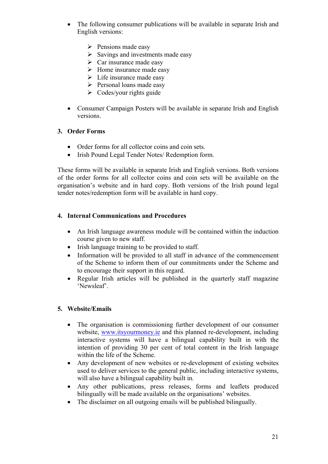- The following consumer publications will be available in separate Irish and English versions:
	- $\triangleright$  Pensions made easy
	- $\triangleright$  Savings and investments made easy
	- $\triangleright$  Car insurance made easy
	- $\triangleright$  Home insurance made easy
	- $\triangleright$  Life insurance made easy
	- $\triangleright$  Personal loans made easy
	- $\triangleright$  Codes/your rights guide
- Consumer Campaign Posters will be available in separate Irish and English versions.

#### **3. Order Forms**

- Order forms for all collector coins and coin sets.
- Irish Pound Legal Tender Notes/ Redemption form.

These forms will be available in separate Irish and English versions. Both versions of the order forms for all collector coins and coin sets will be available on the organisation's website and in hard copy. Both versions of the Irish pound legal tender notes/redemption form will be available in hard copy.

#### **4. Internal Communications and Procedures**

- An Irish language awareness module will be contained within the induction course given to new staff.
- Irish language training to be provided to staff.
- Information will be provided to all staff in advance of the commencement of the Scheme to inform them of our commitments under the Scheme and to encourage their support in this regard.
- Regular Irish articles will be published in the quarterly staff magazine 'Newsleaf'.

# **5. Website/Emails**

- The organisation is commissioning further development of our consumer website, [www.itsyourmoney.ie](http://www.itsyourmoney.ie/) and this planned re-development, including interactive systems will have a bilingual capability built in with the intention of providing 30 per cent of total content in the Irish language within the life of the Scheme.
- Any development of new websites or re-development of existing websites used to deliver services to the general public, including interactive systems, will also have a bilingual capability built in.
- Any other publications, press releases, forms and leaflets produced bilingually will be made available on the organisations' websites.
- The disclaimer on all outgoing emails will be published bilingually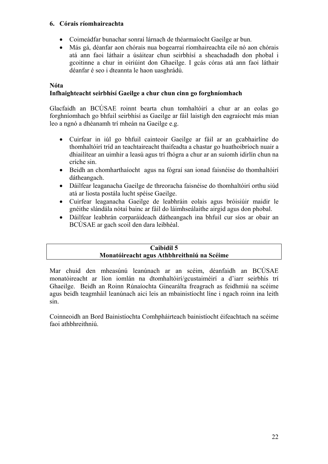# **6. Córais ríomhaireachta**

- Coimeádfar bunachar sonraí lárnach de théarmaíocht Gaeilge ar bun.
- Más gá, déanfar aon chórais nua bogearraí ríomhaireachta eile nó aon chórais atá ann faoi láthair a úsáitear chun seirbhísí a sheachadadh don phobal i gcoitinne a chur in oiriúint don Ghaeilge. I gcás córas atá ann faoi láthair déanfar é seo i dteannta le haon uasghrádú.

# **Nóta**

# **Infhaighteacht seirbhísí Gaeilge a chur chun cinn go forghníomhach**

Glacfaidh an BCÚSAE roinnt bearta chun tomhaltóirí a chur ar an eolas go forghníomhach go bhfuil seirbhísí as Gaeilge ar fáil laistigh den eagraíocht más mian leo a ngnó a dhéanamh trí mheán na Gaeilge e.g.

- Cuirfear in iúl go bhfuil cainteoir Gaeilge ar fáil ar an gcabhairlíne do thomhaltóirí tríd an teachtaireacht thaifeadta a chastar go huathoibríoch nuair a dhiailítear an uimhir a leasú agus trí fhógra a chur ar an suíomh idirlín chun na críche sin.
- Beidh an chomharthaíocht agus na fógraí san ionad faisnéise do thomhaltóirí dátheangach.
- Dáilfear leaganacha Gaeilge de threoracha faisnéise do thomhaltóirí orthu siúd atá ar liosta postála lucht spéise Gaeilge.
- Cuirfear leaganacha Gaeilge de leabhráin eolais agus bróisiúir maidir le gnéithe slándála nótaí bainc ar fáil do láimhseálaithe airgid agus don phobal.
- Dáilfear leabhrán corparáideach dátheangach ina bhfuil cur síos ar obair an BCÚSAE ar gach scoil den dara leibhéal.

#### **Caibidil 5 Monatóireacht agus Athbhreithniú na Scéime**

Mar chuid den mheasúnú leanúnach ar an scéim, déanfaidh an BCÚSAE monatóireacht ar líon iomlán na dtomhaltóirí/gcustaiméirí a d'iarr seirbhís trí Ghaeilge. Beidh an Roinn Rúnaíochta Ginearálta freagrach as feidhmiú na scéime agus beidh teagmháil leanúnach aici leis an mbainistíocht líne i ngach roinn ina leith sin.

Coinneoidh an Bord Bainistíochta Comhpháirteach bainistíocht éifeachtach na scéime faoi athbhreithniú.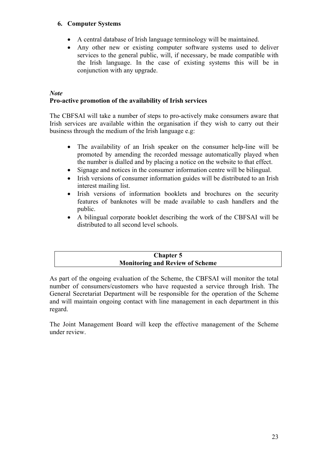# **6. Computer Systems**

- A central database of Irish language terminology will be maintained.
- Any other new or existing computer software systems used to deliver services to the general public, will, if necessary, be made compatible with the Irish language. In the case of existing systems this will be in conjunction with any upgrade.

### *Note*  **Pro-active promotion of the availability of Irish services**

The CBFSAI will take a number of steps to pro-actively make consumers aware that Irish services are available within the organisation if they wish to carry out their business through the medium of the Irish language e.g:

- The availability of an Irish speaker on the consumer help-line will be promoted by amending the recorded message automatically played when the number is dialled and by placing a notice on the website to that effect.
- Signage and notices in the consumer information centre will be bilingual.
- Irish versions of consumer information guides will be distributed to an Irish interest mailing list.
- Irish versions of information booklets and brochures on the security features of banknotes will be made available to cash handlers and the public.
- A bilingual corporate booklet describing the work of the CBFSAI will be distributed to all second level schools.

# **Chapter 5 Monitoring and Review of Scheme**

As part of the ongoing evaluation of the Scheme, the CBFSAI will monitor the total number of consumers/customers who have requested a service through Irish. The General Secretariat Department will be responsible for the operation of the Scheme and will maintain ongoing contact with line management in each department in this regard.

The Joint Management Board will keep the effective management of the Scheme under review.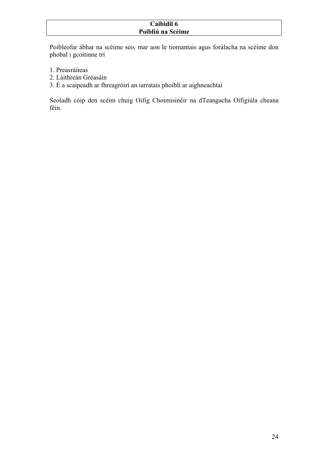# **Caibidil 6 Poibliú na Scéime**

Poibleofar ábhar na scéime seo, mar aon le tiomantais agus forálacha na scéime don phobal i gcoitinne trí

- 1. Preasráiteas
- 2. Láithreán Gréasáin
- 3. É a scaipeadh ar fhreagróirí an iarratais phoiblí ar aighneachtaí

Seoladh cóip den scéim chuig Oifig Choimisinéir na dTeangacha Oifigiúla cheana féin.